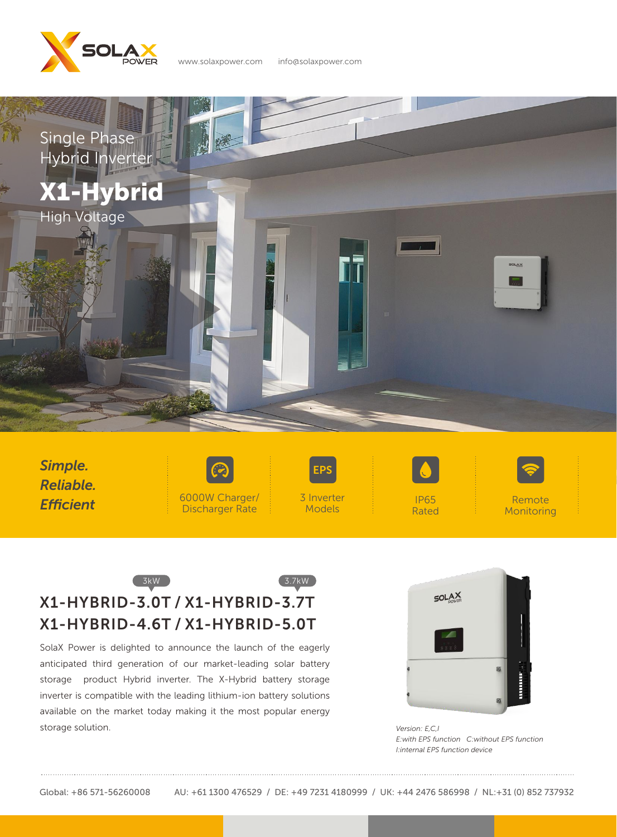

www.solaxpower.com info@solaxpower.com



*Simple. Reliable. Efficient*





Models



Remote **Monitoring** 

## 3kW 3.7kW X1-HYBRID-3.0T / X1-HYBRID-3.7T X1-HYBRID-4.6T / X1-HYBRID-5.0T

SolaX Power is delighted to announce the launch of the eagerly anticipated third generation of our market-leading solar battery storage product Hybrid inverter. The X-Hybrid battery storage inverter is compatible with the leading lithium-ion battery solutions available on the market today making it the most popular energy storage solution.



*Version: E,C,I E:with EPS function C:without EPS function I:internal EPS function device*